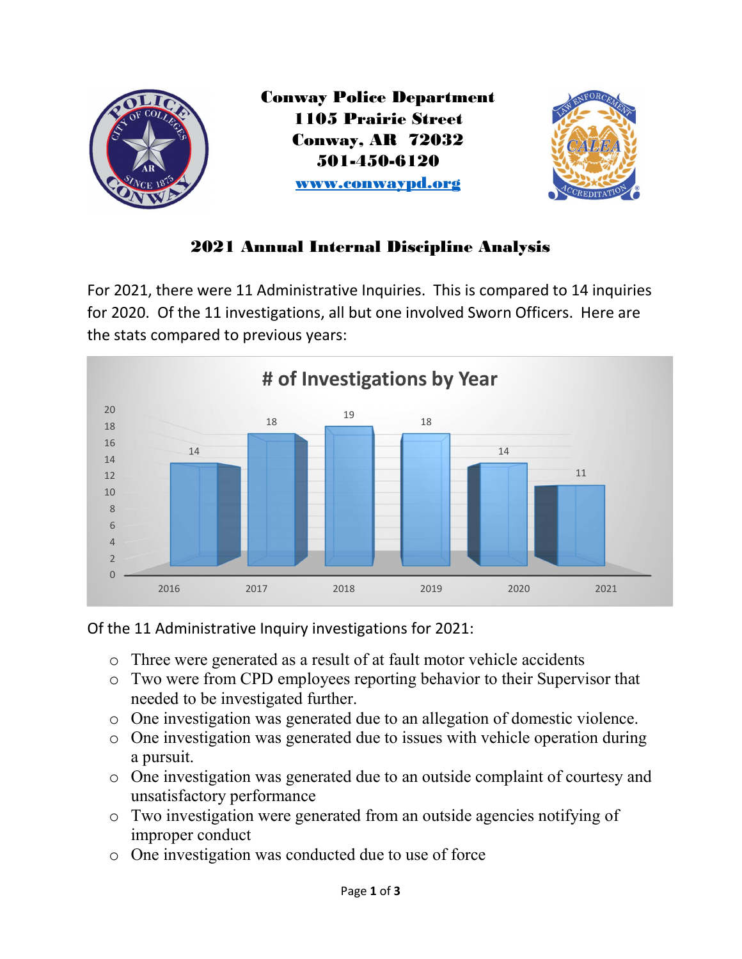

## 2021 Annual Internal Discipline Analysis

For 2021, there were 11 Administrative Inquiries. This is compared to 14 inquiries for 2020. Of the 11 investigations, all but one involved Sworn Officers. Here are the stats compared to previous years:





- o Three were generated as a result of at fault motor vehicle accidents
- o Two were from CPD employees reporting behavior to their Supervisor that needed to be investigated further.
- o One investigation was generated due to an allegation of domestic violence.
- o One investigation was generated due to issues with vehicle operation during a pursuit.
- o One investigation was generated due to an outside complaint of courtesy and unsatisfactory performance
- o Two investigation were generated from an outside agencies notifying of improper conduct
- o One investigation was conducted due to use of force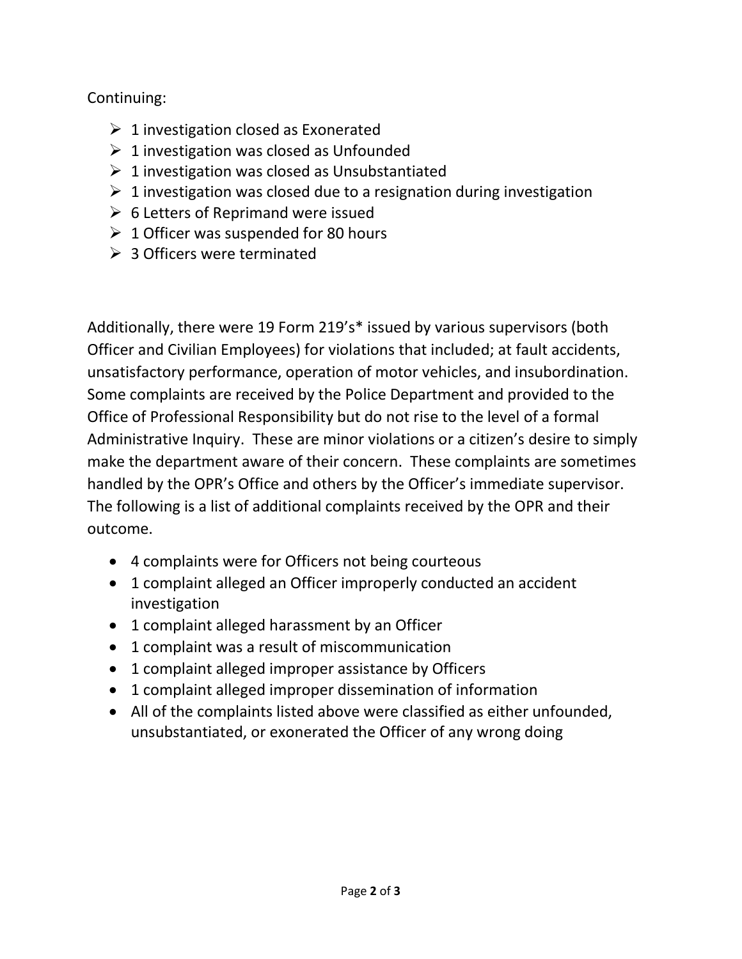## Continuing:

- $\geq 1$  investigation closed as Exonerated
- $\geq 1$  investigation was closed as Unfounded
- $\geq 1$  investigation was closed as Unsubstantiated
- $\geq 1$  investigation was closed due to a resignation during investigation
- $\triangleright$  6 Letters of Reprimand were issued
- $\geq 1$  Officer was suspended for 80 hours
- $\geqslant$  3 Officers were terminated

Additionally, there were 19 Form 219's\* issued by various supervisors (both Officer and Civilian Employees) for violations that included; at fault accidents, unsatisfactory performance, operation of motor vehicles, and insubordination. Some complaints are received by the Police Department and provided to the Office of Professional Responsibility but do not rise to the level of a formal Administrative Inquiry. These are minor violations or a citizen's desire to simply make the department aware of their concern. These complaints are sometimes handled by the OPR's Office and others by the Officer's immediate supervisor. The following is a list of additional complaints received by the OPR and their outcome.

- 4 complaints were for Officers not being courteous
- 1 complaint alleged an Officer improperly conducted an accident investigation
- 1 complaint alleged harassment by an Officer
- 1 complaint was a result of miscommunication
- 1 complaint alleged improper assistance by Officers
- 1 complaint alleged improper dissemination of information
- All of the complaints listed above were classified as either unfounded, unsubstantiated, or exonerated the Officer of any wrong doing